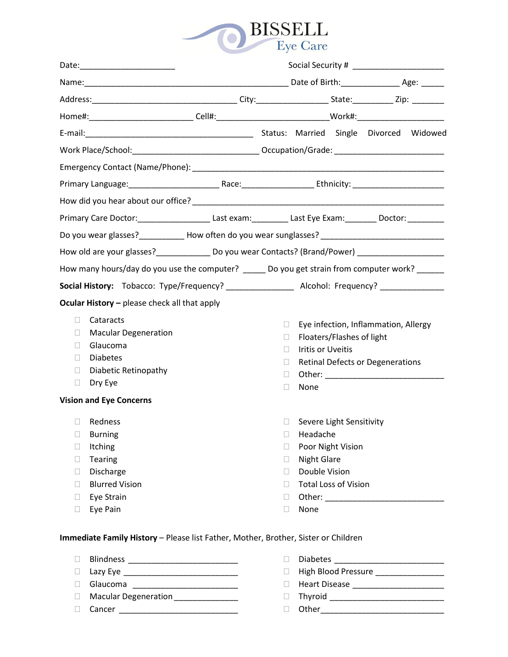

| Home#:_____________________________Cell#:_________________________________Work#:_________________________                                                                                                                                                                                                                             |  |                                                                               |                                                                                                                                                                                           |  |                                                                                 |  |
|---------------------------------------------------------------------------------------------------------------------------------------------------------------------------------------------------------------------------------------------------------------------------------------------------------------------------------------|--|-------------------------------------------------------------------------------|-------------------------------------------------------------------------------------------------------------------------------------------------------------------------------------------|--|---------------------------------------------------------------------------------|--|
|                                                                                                                                                                                                                                                                                                                                       |  |                                                                               |                                                                                                                                                                                           |  |                                                                                 |  |
|                                                                                                                                                                                                                                                                                                                                       |  |                                                                               |                                                                                                                                                                                           |  |                                                                                 |  |
|                                                                                                                                                                                                                                                                                                                                       |  |                                                                               |                                                                                                                                                                                           |  |                                                                                 |  |
|                                                                                                                                                                                                                                                                                                                                       |  |                                                                               |                                                                                                                                                                                           |  |                                                                                 |  |
|                                                                                                                                                                                                                                                                                                                                       |  |                                                                               |                                                                                                                                                                                           |  |                                                                                 |  |
| Primary Care Doctor:________________________Last exam:___________Last Eye Exam:__________Doctor:__________                                                                                                                                                                                                                            |  |                                                                               |                                                                                                                                                                                           |  |                                                                                 |  |
| Do you wear glasses?_____________ How often do you wear sunglasses? _______________________________                                                                                                                                                                                                                                   |  |                                                                               |                                                                                                                                                                                           |  |                                                                                 |  |
| How old are your glasses?_________________ Do you wear Contacts? (Brand/Power) ____________________                                                                                                                                                                                                                                   |  |                                                                               |                                                                                                                                                                                           |  |                                                                                 |  |
| How many hours/day do you use the computer? ______ Do you get strain from computer work? ______                                                                                                                                                                                                                                       |  |                                                                               |                                                                                                                                                                                           |  |                                                                                 |  |
|                                                                                                                                                                                                                                                                                                                                       |  |                                                                               |                                                                                                                                                                                           |  |                                                                                 |  |
| Ocular History - please check all that apply                                                                                                                                                                                                                                                                                          |  |                                                                               |                                                                                                                                                                                           |  |                                                                                 |  |
| П.<br>Cataracts<br><b>Macular Degeneration</b><br>$\Box$<br>Glaucoma<br>П<br><b>Diabetes</b><br>n.<br>Diabetic Retinopathy<br>П.<br>Dry Eye<br>$\Box$<br><b>Vision and Eye Concerns</b><br>Redness<br>$\mathbb{R}^n$<br><b>Burning</b><br>u<br>Itching<br>Ш<br>Tearing<br>$\Box$<br>Discharge<br>$\Box$<br><b>Blurred Vision</b><br>П |  | Ш<br>u<br>П<br>u<br>$\Box$<br>Н<br>u<br>$\Box$<br>Ш<br>$\Box$<br>$\Box$<br>H. | Floaters/Flashes of light<br>Iritis or Uveitis<br>None<br>Severe Light Sensitivity<br>Headache<br>Poor Night Vision<br><b>Night Glare</b><br>Double Vision<br><b>Total Loss of Vision</b> |  | Eye infection, Inflammation, Allergy<br><b>Retinal Defects or Degenerations</b> |  |
| Eye Strain<br>$\Box$                                                                                                                                                                                                                                                                                                                  |  | $\Box$                                                                        | Other: ___________                                                                                                                                                                        |  |                                                                                 |  |
| Eye Pain<br>$\Box$                                                                                                                                                                                                                                                                                                                    |  | □                                                                             | None                                                                                                                                                                                      |  |                                                                                 |  |
| Immediate Family History - Please list Father, Mother, Brother, Sister or Children                                                                                                                                                                                                                                                    |  |                                                                               |                                                                                                                                                                                           |  |                                                                                 |  |

- Blindness \_\_\_\_\_\_\_\_\_\_\_\_\_\_\_\_\_\_\_\_\_\_\_\_
- Lazy Eye \_\_\_\_\_\_\_\_\_\_\_\_\_\_\_\_\_\_\_\_\_\_\_\_\_
- Glaucoma \_\_\_\_\_\_\_\_\_\_\_\_\_\_\_\_\_\_\_\_\_\_\_
- Macular Degeneration \_\_\_\_\_\_\_\_\_\_\_\_\_\_
- Cancer \_\_\_\_\_\_\_\_\_\_\_\_\_\_\_\_\_\_\_\_\_\_\_\_\_\_
- Diabetes \_\_\_\_\_\_\_\_\_\_\_\_\_\_\_\_\_\_\_\_\_\_\_\_ □ High Blood Pressure \_\_\_\_\_\_\_\_\_\_\_\_\_\_\_\_\_\_ Heart Disease \_\_\_\_\_\_\_\_\_\_\_\_\_\_\_\_\_\_\_\_
- 
- Thyroid \_\_\_\_\_\_\_\_\_\_\_\_\_\_\_\_\_\_\_\_\_\_\_\_\_
- Other\_\_\_\_\_\_\_\_\_\_\_\_\_\_\_\_\_\_\_\_\_\_\_\_\_\_\_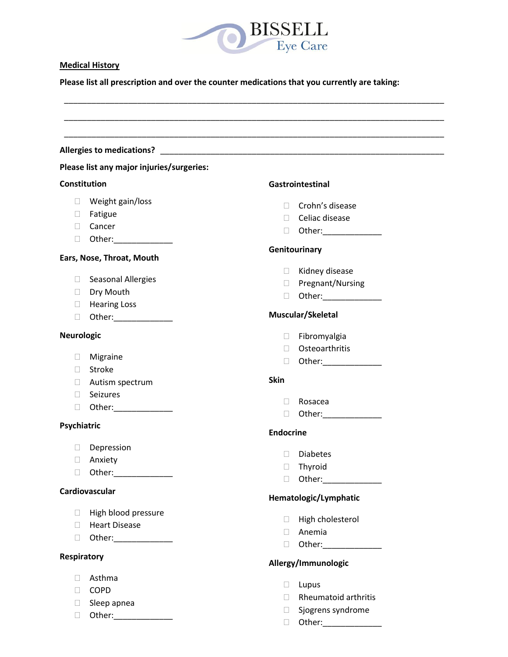

### **Medical History**

**Please list all prescription and over the counter medications that you currently are taking:** 

|                     | <b>Allergies to medications?</b>          |                                                                                                                                                                                                                                      |  |  |
|---------------------|-------------------------------------------|--------------------------------------------------------------------------------------------------------------------------------------------------------------------------------------------------------------------------------------|--|--|
|                     | Please list any major injuries/surgeries: |                                                                                                                                                                                                                                      |  |  |
| <b>Constitution</b> |                                           | Gastrointestinal                                                                                                                                                                                                                     |  |  |
|                     | $\Box$ Weight gain/loss                   | $\Box$ Crohn's disease                                                                                                                                                                                                               |  |  |
|                     | □ Fatigue                                 | $\Box$ Celiac disease                                                                                                                                                                                                                |  |  |
|                     | □ Cancer                                  | □ Other:_______________                                                                                                                                                                                                              |  |  |
| $\Box$              | Other:_______________                     |                                                                                                                                                                                                                                      |  |  |
|                     | Ears, Nose, Throat, Mouth                 | Genitourinary                                                                                                                                                                                                                        |  |  |
|                     |                                           | $\Box$ Kidney disease                                                                                                                                                                                                                |  |  |
| $\Box$              | <b>Seasonal Allergies</b>                 | □ Pregnant/Nursing                                                                                                                                                                                                                   |  |  |
| <b>College</b>      | Dry Mouth                                 | Other: and the state of the state of the state of the state of the state of the state of the state of the state of the state of the state of the state of the state of the state of the state of the state of the state of the<br>u. |  |  |
|                     | <b>E</b> Hearing Loss                     |                                                                                                                                                                                                                                      |  |  |
| $\Box$              |                                           | Muscular/Skeletal                                                                                                                                                                                                                    |  |  |
| <b>Neurologic</b>   |                                           | $\Box$ Fibromyalgia                                                                                                                                                                                                                  |  |  |
|                     |                                           | □ Osteoarthritis                                                                                                                                                                                                                     |  |  |
| $\Box$              | Migraine                                  | □ Other:_______________                                                                                                                                                                                                              |  |  |
| $\Box$              | Stroke                                    |                                                                                                                                                                                                                                      |  |  |
|                     | $\Box$ Autism spectrum                    | <b>Skin</b>                                                                                                                                                                                                                          |  |  |
| <b>The State</b>    | Seizures                                  | Rosacea<br>$\Box$                                                                                                                                                                                                                    |  |  |
| $\Box$              | Other:________________                    | $\Box$                                                                                                                                                                                                                               |  |  |
| Psychiatric         |                                           |                                                                                                                                                                                                                                      |  |  |
|                     |                                           | <b>Endocrine</b>                                                                                                                                                                                                                     |  |  |
| $\Box$              | Depression                                | <b>Diabetes</b><br>$\Box$                                                                                                                                                                                                            |  |  |
| L.                  | Anxiety                                   | Thyroid<br>$\Box$                                                                                                                                                                                                                    |  |  |
| $\Box$              | Other:_______________                     | Other:_______________<br>$\Box$                                                                                                                                                                                                      |  |  |
|                     | Cardiovascular                            | Hematologic/Lymphatic                                                                                                                                                                                                                |  |  |
| $\Box$              | High blood pressure                       |                                                                                                                                                                                                                                      |  |  |
| H.                  | <b>Heart Disease</b>                      | □ High cholesterol                                                                                                                                                                                                                   |  |  |
| $\Box$              | Other:_______________                     | $\Box$ Anemia                                                                                                                                                                                                                        |  |  |
|                     |                                           | D Other: ______________                                                                                                                                                                                                              |  |  |
| <b>Respiratory</b>  |                                           | Allergy/Immunologic                                                                                                                                                                                                                  |  |  |
| П.                  | Asthma                                    |                                                                                                                                                                                                                                      |  |  |
| П.                  | <b>COPD</b>                               | $\Box$ Lupus                                                                                                                                                                                                                         |  |  |
| $\Box$              | Sleep apnea                               | $\Box$ Rheumatoid arthritis                                                                                                                                                                                                          |  |  |

 Sjogrens syndrome Other:\_\_\_\_\_\_\_\_\_\_\_\_\_

- 
- Other:\_\_\_\_\_\_\_\_\_\_\_\_\_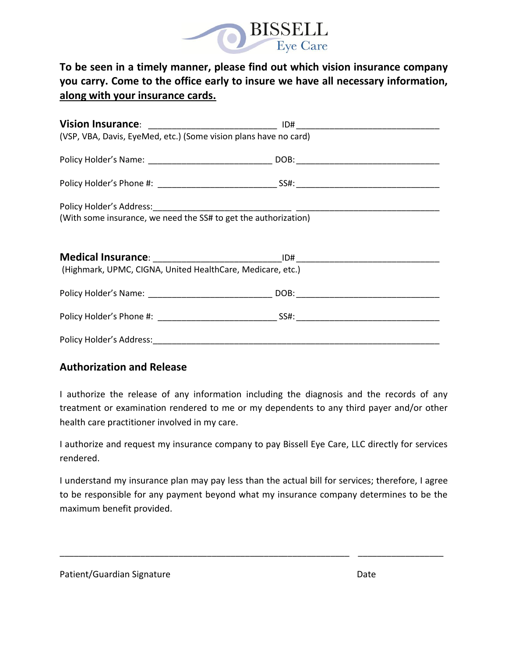

# **To be seen in a timely manner, please find out which vision insurance company you carry. Come to the office early to insure we have all necessary information, along with your insurance cards.**

| (VSP, VBA, Davis, EyeMed, etc.) (Some vision plans have no card) |  |  |  |  |  |  |
|------------------------------------------------------------------|--|--|--|--|--|--|
|                                                                  |  |  |  |  |  |  |
|                                                                  |  |  |  |  |  |  |
|                                                                  |  |  |  |  |  |  |
| (With some insurance, we need the SS# to get the authorization)  |  |  |  |  |  |  |
|                                                                  |  |  |  |  |  |  |
|                                                                  |  |  |  |  |  |  |
|                                                                  |  |  |  |  |  |  |
| (Highmark, UPMC, CIGNA, United HealthCare, Medicare, etc.)       |  |  |  |  |  |  |
|                                                                  |  |  |  |  |  |  |
|                                                                  |  |  |  |  |  |  |
|                                                                  |  |  |  |  |  |  |
|                                                                  |  |  |  |  |  |  |

## **Authorization and Release**

I authorize the release of any information including the diagnosis and the records of any treatment or examination rendered to me or my dependents to any third payer and/or other health care practitioner involved in my care.

I authorize and request my insurance company to pay Bissell Eye Care, LLC directly for services rendered.

I understand my insurance plan may pay less than the actual bill for services; therefore, I agree to be responsible for any payment beyond what my insurance company determines to be the maximum benefit provided.

\_\_\_\_\_\_\_\_\_\_\_\_\_\_\_\_\_\_\_\_\_\_\_\_\_\_\_\_\_\_\_\_\_\_\_\_\_\_\_\_\_\_\_\_\_\_\_\_\_\_\_\_\_\_\_\_\_\_\_\_\_ \_\_\_\_\_\_\_\_\_\_\_\_\_\_\_\_\_\_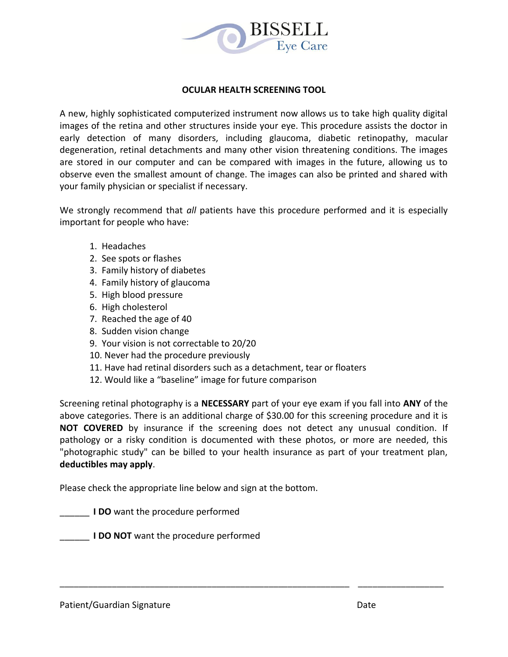

#### **OCULAR HEALTH SCREENING TOOL**

A new, highly sophisticated computerized instrument now allows us to take high quality digital images of the retina and other structures inside your eye. This procedure assists the doctor in early detection of many disorders, including glaucoma, diabetic retinopathy, macular degeneration, retinal detachments and many other vision threatening conditions. The images are stored in our computer and can be compared with images in the future, allowing us to observe even the smallest amount of change. The images can also be printed and shared with your family physician or specialist if necessary.

We strongly recommend that *all* patients have this procedure performed and it is especially important for people who have:

- 1. Headaches
- 2. See spots or flashes
- 3. Family history of diabetes
- 4. Family history of glaucoma
- 5. High blood pressure
- 6. High cholesterol
- 7. Reached the age of 40
- 8. Sudden vision change
- 9. Your vision is not correctable to 20/20
- 10. Never had the procedure previously
- 11. Have had retinal disorders such as a detachment, tear or floaters
- 12. Would like a "baseline" image for future comparison

Screening retinal photography is a **NECESSARY** part of your eye exam if you fall into **ANY** of the above categories. There is an additional charge of \$30.00 for this screening procedure and it is **NOT COVERED** by insurance if the screening does not detect any unusual condition. If pathology or a risky condition is documented with these photos, or more are needed, this "photographic study" can be billed to your health insurance as part of your treatment plan, **deductibles may apply**.

\_\_\_\_\_\_\_\_\_\_\_\_\_\_\_\_\_\_\_\_\_\_\_\_\_\_\_\_\_\_\_\_\_\_\_\_\_\_\_\_\_\_\_\_\_\_\_\_\_\_\_\_\_\_\_\_\_\_\_\_\_ \_\_\_\_\_\_\_\_\_\_\_\_\_\_\_\_\_\_

Please check the appropriate line below and sign at the bottom.

**I DO** want the procedure performed

**I DO NOT** want the procedure performed